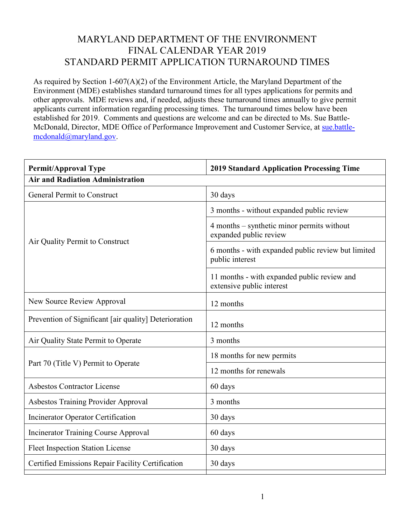## MARYLAND DEPARTMENT OF THE ENVIRONMENT FINAL CALENDAR YEAR 2019 STANDARD PERMIT APPLICATION TURNAROUND TIMES

As required by Section 1-607(A)(2) of the Environment Article, the Maryland Department of the Environment (MDE) establishes standard turnaround times for all types applications for permits and other approvals. MDE reviews and, if needed, adjusts these turnaround times annually to give permit applicants current information regarding processing times. The turnaround times below have been established for 2019. Comments and questions are welcome and can be directed to Ms. Sue Battle-McDonald, Director, MDE Office of Performance Improvement and Customer Service, at [sue.battle](mailto:sue.battle-mcdonald@maryland.gov)[mcdonald@maryland.gov.](mailto:sue.battle-mcdonald@maryland.gov)

| <b>Permit/Approval Type</b>                           | <b>2019 Standard Application Processing Time</b>                         |  |
|-------------------------------------------------------|--------------------------------------------------------------------------|--|
| <b>Air and Radiation Administration</b>               |                                                                          |  |
| <b>General Permit to Construct</b>                    | 30 days                                                                  |  |
| Air Quality Permit to Construct                       | 3 months - without expanded public review                                |  |
|                                                       | 4 months – synthetic minor permits without<br>expanded public review     |  |
|                                                       | 6 months - with expanded public review but limited<br>public interest    |  |
|                                                       | 11 months - with expanded public review and<br>extensive public interest |  |
| New Source Review Approval                            | 12 months                                                                |  |
| Prevention of Significant [air quality] Deterioration | 12 months                                                                |  |
| Air Quality State Permit to Operate                   | 3 months                                                                 |  |
| Part 70 (Title V) Permit to Operate                   | 18 months for new permits                                                |  |
|                                                       | 12 months for renewals                                                   |  |
| <b>Asbestos Contractor License</b>                    | 60 days                                                                  |  |
| <b>Asbestos Training Provider Approval</b>            | 3 months                                                                 |  |
| Incinerator Operator Certification                    | 30 days                                                                  |  |
| <b>Incinerator Training Course Approval</b>           | 60 days                                                                  |  |
| <b>Fleet Inspection Station License</b>               | 30 days                                                                  |  |
| Certified Emissions Repair Facility Certification     | 30 days                                                                  |  |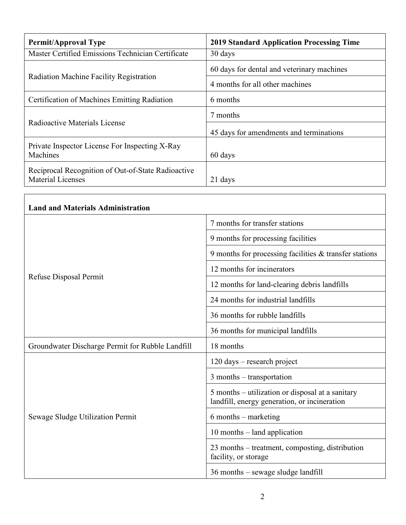| <b>Permit/Approval Type</b>                                                    | <b>2019 Standard Application Processing Time</b> |
|--------------------------------------------------------------------------------|--------------------------------------------------|
| Master Certified Emissions Technician Certificate                              | 30 days                                          |
| Radiation Machine Facility Registration                                        | 60 days for dental and veterinary machines       |
|                                                                                | 4 months for all other machines                  |
| Certification of Machines Emitting Radiation                                   | 6 months                                         |
| Radioactive Materials License                                                  | 7 months                                         |
|                                                                                | 45 days for amendments and terminations          |
| Private Inspector License For Inspecting X-Ray<br>Machines                     | 60 days                                          |
| Reciprocal Recognition of Out-of-State Radioactive<br><b>Material Licenses</b> | 21 days                                          |

| <b>Land and Materials Administration</b>         |                                                                                                  |
|--------------------------------------------------|--------------------------------------------------------------------------------------------------|
| Refuse Disposal Permit                           | 7 months for transfer stations                                                                   |
|                                                  | 9 months for processing facilities                                                               |
|                                                  | 9 months for processing facilities $&$ transfer stations                                         |
|                                                  | 12 months for incinerators                                                                       |
|                                                  | 12 months for land-clearing debris landfills                                                     |
|                                                  | 24 months for industrial landfills                                                               |
|                                                  | 36 months for rubble landfills                                                                   |
|                                                  | 36 months for municipal landfills                                                                |
| Groundwater Discharge Permit for Rubble Landfill | 18 months                                                                                        |
| Sewage Sludge Utilization Permit                 | 120 days – research project                                                                      |
|                                                  | 3 months - transportation                                                                        |
|                                                  | 5 months – utilization or disposal at a sanitary<br>landfill, energy generation, or incineration |
|                                                  | $6$ months – marketing                                                                           |
|                                                  | 10 months – land application                                                                     |
|                                                  | 23 months – treatment, composting, distribution<br>facility, or storage                          |
|                                                  | 36 months – sewage sludge landfill                                                               |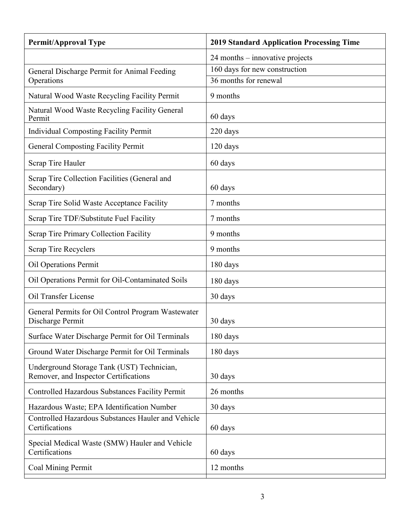| <b>Permit/Approval Type</b>                                                         | <b>2019 Standard Application Processing Time</b> |
|-------------------------------------------------------------------------------------|--------------------------------------------------|
|                                                                                     | $24$ months – innovative projects                |
| General Discharge Permit for Animal Feeding                                         | 160 days for new construction                    |
| Operations                                                                          | 36 months for renewal                            |
| Natural Wood Waste Recycling Facility Permit                                        | 9 months                                         |
| Natural Wood Waste Recycling Facility General<br>Permit                             | 60 days                                          |
| <b>Individual Composting Facility Permit</b>                                        | 220 days                                         |
| <b>General Composting Facility Permit</b>                                           | $120 \text{ days}$                               |
| Scrap Tire Hauler                                                                   | 60 days                                          |
| Scrap Tire Collection Facilities (General and<br>Secondary)                         | 60 days                                          |
| Scrap Tire Solid Waste Acceptance Facility                                          | 7 months                                         |
| Scrap Tire TDF/Substitute Fuel Facility                                             | 7 months                                         |
| Scrap Tire Primary Collection Facility                                              | 9 months                                         |
| Scrap Tire Recyclers                                                                | 9 months                                         |
| Oil Operations Permit                                                               | 180 days                                         |
| Oil Operations Permit for Oil-Contaminated Soils                                    | 180 days                                         |
| Oil Transfer License                                                                | 30 days                                          |
| General Permits for Oil Control Program Wastewater<br>Discharge Permit              | 30 days                                          |
| Surface Water Discharge Permit for Oil Terminals                                    | 180 days                                         |
| Ground Water Discharge Permit for Oil Terminals                                     | 180 days                                         |
| Underground Storage Tank (UST) Technician,<br>Remover, and Inspector Certifications | 30 days                                          |
| Controlled Hazardous Substances Facility Permit                                     | 26 months                                        |
| Hazardous Waste; EPA Identification Number                                          | 30 days                                          |
| Controlled Hazardous Substances Hauler and Vehicle<br>Certifications                | 60 days                                          |
| Special Medical Waste (SMW) Hauler and Vehicle<br>Certifications                    | 60 days                                          |
| Coal Mining Permit                                                                  | 12 months                                        |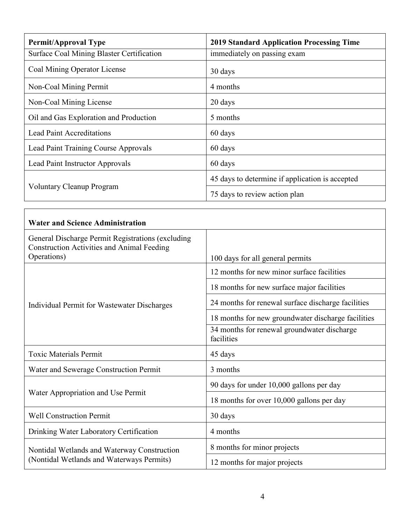| <b>Permit/Approval Type</b>               | <b>2019 Standard Application Processing Time</b> |
|-------------------------------------------|--------------------------------------------------|
| Surface Coal Mining Blaster Certification | immediately on passing exam                      |
| Coal Mining Operator License              | 30 days                                          |
| Non-Coal Mining Permit                    | 4 months                                         |
| Non-Coal Mining License                   | 20 days                                          |
| Oil and Gas Exploration and Production    | 5 months                                         |
| <b>Lead Paint Accreditations</b>          | 60 days                                          |
| Lead Paint Training Course Approvals      | 60 days                                          |
| Lead Paint Instructor Approvals           | 60 days                                          |
| <b>Voluntary Cleanup Program</b>          | 45 days to determine if application is accepted  |
|                                           | 75 days to review action plan                    |

Г

| <b>Water and Science Administration</b>                                                                |                                                           |
|--------------------------------------------------------------------------------------------------------|-----------------------------------------------------------|
| General Discharge Permit Registrations (excluding<br><b>Construction Activities and Animal Feeding</b> |                                                           |
| Operations)                                                                                            | 100 days for all general permits                          |
| Individual Permit for Wastewater Discharges                                                            | 12 months for new minor surface facilities                |
|                                                                                                        | 18 months for new surface major facilities                |
|                                                                                                        | 24 months for renewal surface discharge facilities        |
|                                                                                                        | 18 months for new groundwater discharge facilities        |
|                                                                                                        | 34 months for renewal groundwater discharge<br>facilities |
| <b>Toxic Materials Permit</b>                                                                          | 45 days                                                   |
| Water and Sewerage Construction Permit                                                                 | 3 months                                                  |
| Water Appropriation and Use Permit                                                                     | 90 days for under 10,000 gallons per day                  |
|                                                                                                        | 18 months for over 10,000 gallons per day                 |
| <b>Well Construction Permit</b>                                                                        | 30 days                                                   |
| Drinking Water Laboratory Certification                                                                | 4 months                                                  |
| Nontidal Wetlands and Waterway Construction<br>(Nontidal Wetlands and Waterways Permits)               | 8 months for minor projects                               |
|                                                                                                        | 12 months for major projects                              |